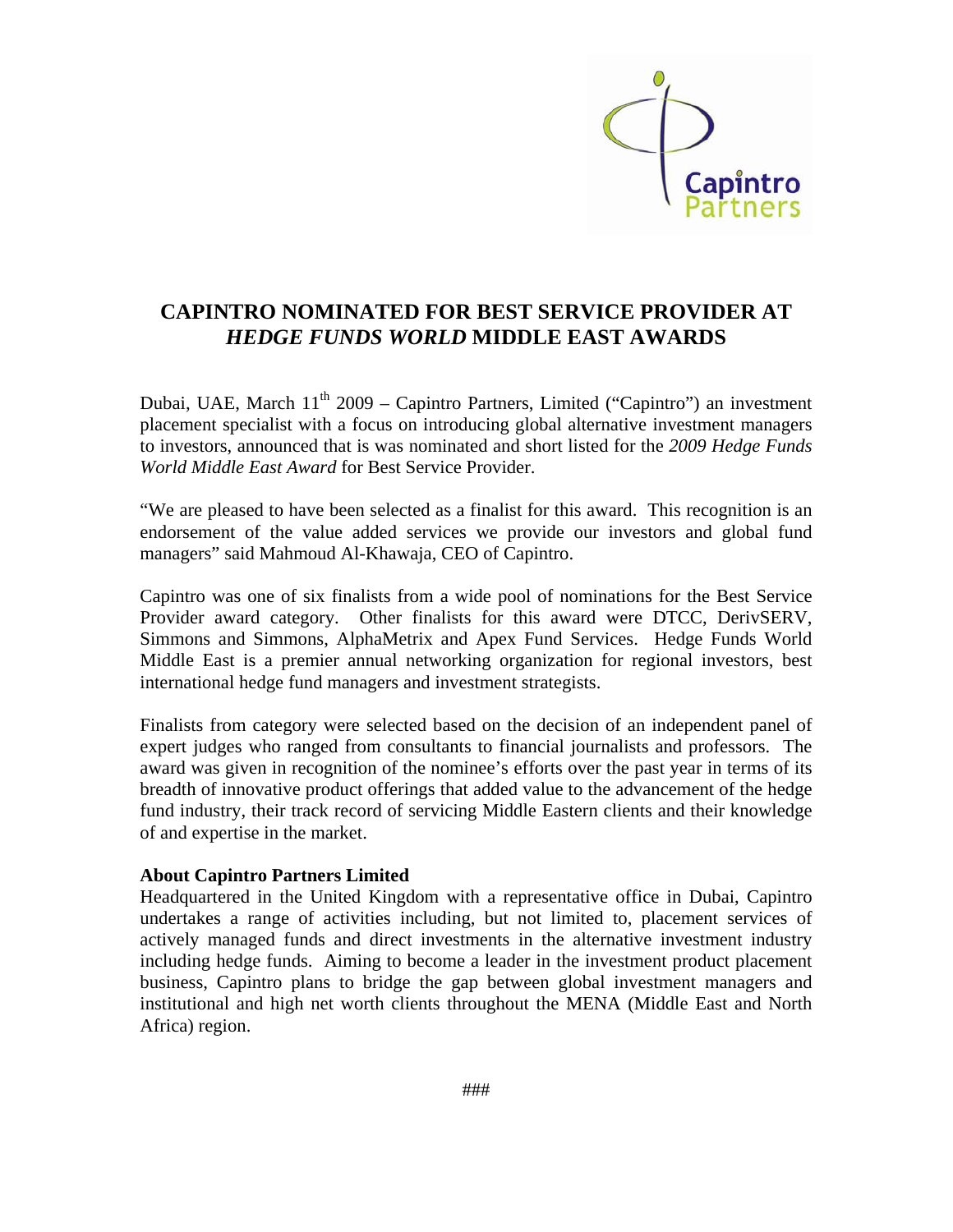

## **CAPINTRO NOMINATED FOR BEST SERVICE PROVIDER AT**  *HEDGE FUNDS WORLD* **MIDDLE EAST AWARDS**

Dubai, UAE, March  $11<sup>th</sup>$  2009 – Capintro Partners, Limited ("Capintro") an investment placement specialist with a focus on introducing global alternative investment managers to investors, announced that is was nominated and short listed for the *2009 Hedge Funds World Middle East Award* for Best Service Provider.

"We are pleased to have been selected as a finalist for this award. This recognition is an endorsement of the value added services we provide our investors and global fund managers" said Mahmoud Al-Khawaja, CEO of Capintro.

Capintro was one of six finalists from a wide pool of nominations for the Best Service Provider award category. Other finalists for this award were DTCC, DerivSERV, Simmons and Simmons, AlphaMetrix and Apex Fund Services. Hedge Funds World Middle East is a premier annual networking organization for regional investors, best international hedge fund managers and investment strategists.

Finalists from category were selected based on the decision of an independent panel of expert judges who ranged from consultants to financial journalists and professors. The award was given in recognition of the nominee's efforts over the past year in terms of its breadth of innovative product offerings that added value to the advancement of the hedge fund industry, their track record of servicing Middle Eastern clients and their knowledge of and expertise in the market.

## **About Capintro Partners Limited**

Headquartered in the United Kingdom with a representative office in Dubai, Capintro undertakes a range of activities including, but not limited to, placement services of actively managed funds and direct investments in the alternative investment industry including hedge funds. Aiming to become a leader in the investment product placement business, Capintro plans to bridge the gap between global investment managers and institutional and high net worth clients throughout the MENA (Middle East and North Africa) region.